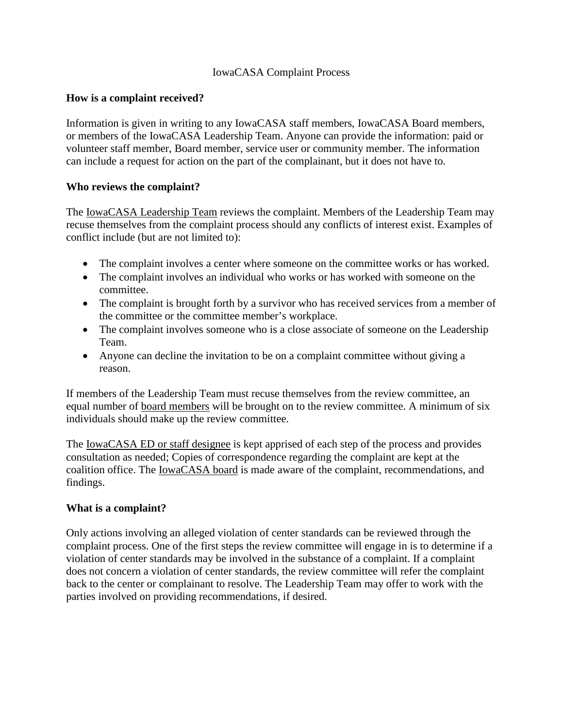### IowaCASA Complaint Process

## **How is a complaint received?**

Information is given in writing to any IowaCASA staff members, IowaCASA Board members, or members of the IowaCASA Leadership Team. Anyone can provide the information: paid or volunteer staff member, Board member, service user or community member. The information can include a request for action on the part of the complainant, but it does not have to.

### **Who reviews the complaint?**

The IowaCASA Leadership Team reviews the complaint. Members of the Leadership Team may recuse themselves from the complaint process should any conflicts of interest exist. Examples of conflict include (but are not limited to):

- The complaint involves a center where some on the committee works or has worked.
- The complaint involves an individual who works or has worked with someone on the committee.
- The complaint is brought forth by a survivor who has received services from a member of the committee or the committee member's workplace.
- The complaint involves someone who is a close associate of someone on the Leadership Team.
- Anyone can decline the invitation to be on a complaint committee without giving a reason.

If members of the Leadership Team must recuse themselves from the review committee, an equal number of board members will be brought on to the review committee. A minimum of six individuals should make up the review committee.

The <u>IowaCASA ED</u> or staff designee is kept apprised of each step of the process and provides consultation as needed; Copies of correspondence regarding the complaint are kept at the coalition office. The IowaCASA board is made aware of the complaint, recommendations, and findings.

#### **What is a complaint?**

Only actions involving an alleged violation of center standards can be reviewed through the complaint process. One of the first steps the review committee will engage in is to determine if a violation of center standards may be involved in the substance of a complaint. If a complaint does not concern a violation of center standards, the review committee will refer the complaint back to the center or complainant to resolve. The Leadership Team may offer to work with the parties involved on providing recommendations, if desired.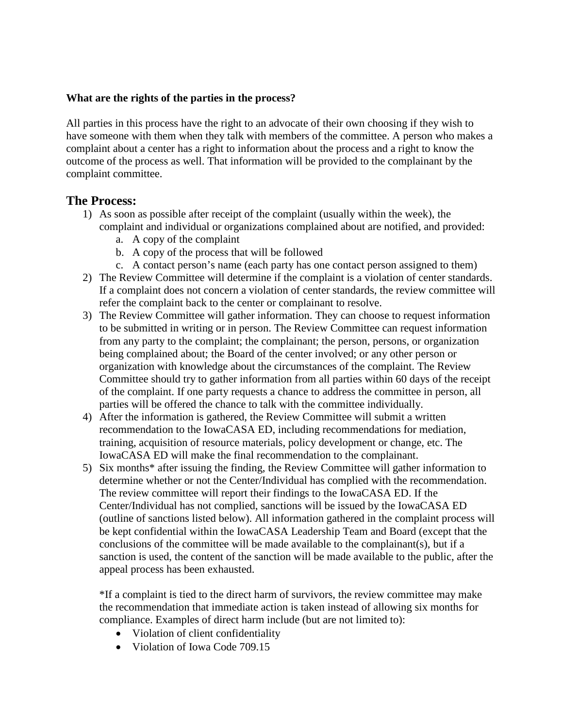### **What are the rights of the parties in the process?**

All parties in this process have the right to an advocate of their own choosing if they wish to have someone with them when they talk with members of the committee. A person who makes a complaint about a center has a right to information about the process and a right to know the outcome of the process as well. That information will be provided to the complainant by the complaint committee.

# **The Process:**

- 1) As soon as possible after receipt of the complaint (usually within the week), the complaint and individual or organizations complained about are notified, and provided:
	- a. A copy of the complaint
	- b. A copy of the process that will be followed
	- c. A contact person's name (each party has one contact person assigned to them)
- 2) The Review Committee will determine if the complaint is a violation of center standards. If a complaint does not concern a violation of center standards, the review committee will refer the complaint back to the center or complainant to resolve.
- 3) The Review Committee will gather information. They can choose to request information to be submitted in writing or in person. The Review Committee can request information from any party to the complaint; the complainant; the person, persons, or organization being complained about; the Board of the center involved; or any other person or organization with knowledge about the circumstances of the complaint. The Review Committee should try to gather information from all parties within 60 days of the receipt of the complaint. If one party requests a chance to address the committee in person, all parties will be offered the chance to talk with the committee individually.
- 4) After the information is gathered, the Review Committee will submit a written recommendation to the IowaCASA ED, including recommendations for mediation, training, acquisition of resource materials, policy development or change, etc. The IowaCASA ED will make the final recommendation to the complainant.
- 5) Six months\* after issuing the finding, the Review Committee will gather information to determine whether or not the Center/Individual has complied with the recommendation. The review committee will report their findings to the IowaCASA ED. If the Center/Individual has not complied, sanctions will be issued by the IowaCASA ED (outline of sanctions listed below). All information gathered in the complaint process will be kept confidential within the IowaCASA Leadership Team and Board (except that the conclusions of the committee will be made available to the complainant(s), but if a sanction is used, the content of the sanction will be made available to the public, after the appeal process has been exhausted.

\*If a complaint is tied to the direct harm of survivors, the review committee may make the recommendation that immediate action is taken instead of allowing six months for compliance. Examples of direct harm include (but are not limited to):

- Violation of client confidentiality
- Violation of Iowa Code 709.15